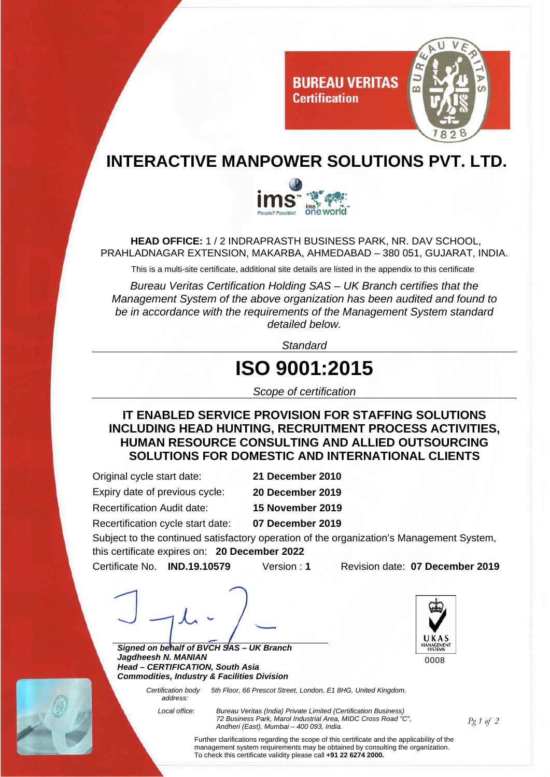

## **INTERACTIVE MANPOWER SOLUTIONS PVT. LTD.**



**HEAD OFFICE:** 1 / 2 INDRAPRASTH BUSINESS PARK, NR. DAV SCHOOL, PRAHLADNAGAR EXTENSION, MAKARBA, AHMEDABAD – 380 051, GUJARAT, INDIA.

This is a multi-site certificate, additional site details are listed in the appendix to this certificate

*Bureau Veritas Certification Holding SAS – UK Branch certifies that the Management System of the above organization has been audited and found to be in accordance with the requirements of the Management System standard detailed below.* 

*Standard*

## **ISO 9001:2015**

*Scope of certification* 

**IT ENABLED SERVICE PROVISION FOR STAFFING SOLUTIONS INCLUDING HEAD HUNTING, RECRUITMENT PROCESS ACTIVITIES, HUMAN RESOURCE CONSULTING AND ALLIED OUTSOURCING SOLUTIONS FOR DOMESTIC AND INTERNATIONAL CLIENTS**

Original cycle start date: **21 December 2010** Expiry date of previous cycle: **20 December 2019**  Recertification Audit date: **15 November 2019** 

Recertification cycle start date: **07 December 2019** 

Subject to the continued satisfactory operation of the organization's Management System, this certificate expires on: **20 December 2022**

Certificate No. **IND.19.10579** Version : **1** Revision date: **07 December 2019** 

*Signed on behalf of BVCH SAS – UK Branch Jagdheesh N. MANIAN Head – CERTIFICATION, South Asia Commodities, Industry & Facilities Division* 





 *Local office: Bureau Veritas (India) Private Limited (Certification Business) 72 Business Park, Marol Industrial Area, MIDC Cross Road "C", Andheri (East), Mumbai – 400 093, India.* 

*Pg 1 of 2*

Further clarifications regarding the scope of this certificate and the applicability of the management system requirements may be obtained by consulting the organization. To check this certificate validity please call **+91 22 6274 2000.**